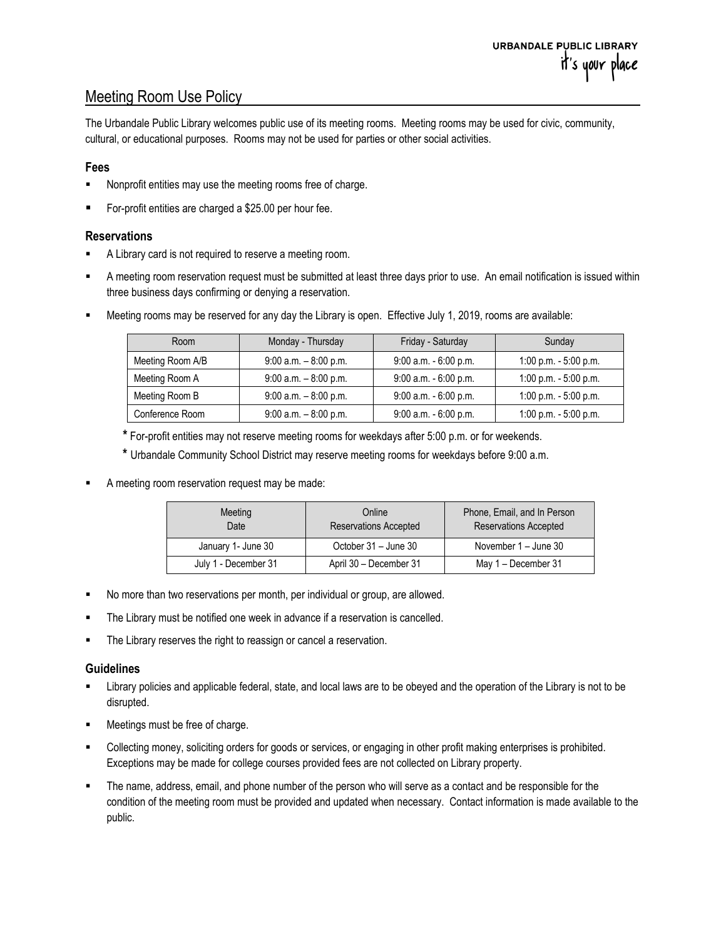## Meeting Room Use Policy

The Urbandale Public Library welcomes public use of its meeting rooms. Meeting rooms may be used for civic, community, cultural, or educational purposes. Rooms may not be used for parties or other social activities.

## **Fees**

- Nonprofit entities may use the meeting rooms free of charge.
- For-profit entities are charged a \$25.00 per hour fee.

## **Reservations**

- A Library card is not required to reserve a meeting room.
- A meeting room reservation request must be submitted at least three days prior to use. An email notification is issued within three business days confirming or denying a reservation.
- Meeting rooms may be reserved for any day the Library is open. Effective July 1, 2019, rooms are available:

| Room             | Monday - Thursday        | Friday - Saturday        | Sunday                   |
|------------------|--------------------------|--------------------------|--------------------------|
| Meeting Room A/B | $9:00$ a.m. $-8:00$ p.m. | $9:00$ a.m. $-6:00$ p.m. | 1:00 p.m. $-5:00$ p.m.   |
| Meeting Room A   | $9:00$ a.m. $-8:00$ p.m. | $9:00$ a.m. $-6:00$ p.m. | $1:00$ p.m. $-5:00$ p.m. |
| Meeting Room B   | $9:00$ a.m. $-8:00$ p.m. | $9:00$ a.m. $-6:00$ p.m. | 1:00 p.m. $-5:00$ p.m.   |
| Conference Room  | $9:00$ a.m. $-8:00$ p.m. | $9:00$ a.m. $-6:00$ p.m. | 1:00 p.m. $-5:00$ p.m.   |

**\*** For-profit entities may not reserve meeting rooms for weekdays after 5:00 p.m. or for weekends.

**\*** Urbandale Community School District may reserve meeting rooms for weekdays before 9:00 a.m.

A meeting room reservation request may be made:

| Meeting<br>Date      | Online<br><b>Reservations Accepted</b> | Phone, Email, and In Person<br><b>Reservations Accepted</b> |
|----------------------|----------------------------------------|-------------------------------------------------------------|
| January 1- June 30   | October 31 - June 30                   | November 1 – June 30                                        |
| July 1 - December 31 | April 30 - December 31                 | May 1 - December 31                                         |

- No more than two reservations per month, per individual or group, are allowed.
- The Library must be notified one week in advance if a reservation is cancelled.
- The Library reserves the right to reassign or cancel a reservation.

## **Guidelines**

- Library policies and applicable federal, state, and local laws are to be obeyed and the operation of the Library is not to be disrupted.
- Meetings must be free of charge.
- Collecting money, soliciting orders for goods or services, or engaging in other profit making enterprises is prohibited. Exceptions may be made for college courses provided fees are not collected on Library property.
- The name, address, email, and phone number of the person who will serve as a contact and be responsible for the condition of the meeting room must be provided and updated when necessary. Contact information is made available to the public.